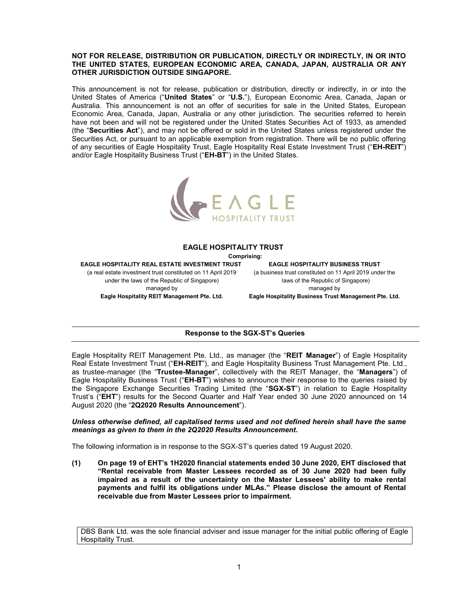# NOT FOR RELEASE, DISTRIBUTION OR PUBLICATION, DIRECTLY OR INDIRECTLY, IN OR INTO THE UNITED STATES, EUROPEAN ECONOMIC AREA, CANADA, JAPAN, AUSTRALIA OR ANY OTHER JURISDICTION OUTSIDE SINGAPORE.

This announcement is not for release, publication or distribution, directly or indirectly, in or into the United States of America ("United States" or "U.S."), European Economic Area, Canada, Japan or Australia. This announcement is not an offer of securities for sale in the United States, European Economic Area, Canada, Japan, Australia or any other jurisdiction. The securities referred to herein have not been and will not be registered under the United States Securities Act of 1933, as amended (the "Securities Act"), and may not be offered or sold in the United States unless registered under the Securities Act, or pursuant to an applicable exemption from registration. There will be no public offering of any securities of Eagle Hospitality Trust, Eagle Hospitality Real Estate Investment Trust ("EH-REIT") and/or Eagle Hospitality Business Trust ("EH-BT") in the United States.



#### EAGLE HOSPITALITY TRUST

Comprising:

EAGLE HOSPITALITY REAL ESTATE INVESTMENT TRUST

(a real estate investment trust constituted on 11 April 2019 under the laws of the Republic of Singapore) managed by Eagle Hospitality REIT Management Pte. Ltd.

EAGLE HOSPITALITY BUSINESS TRUST

(a business trust constituted on 11 April 2019 under the laws of the Republic of Singapore) managed by

Eagle Hospitality Business Trust Management Pte. Ltd.

# Response to the SGX-ST's Queries

Eagle Hospitality REIT Management Pte. Ltd., as manager (the "REIT Manager") of Eagle Hospitality Real Estate Investment Trust ("EH-REIT"), and Eagle Hospitality Business Trust Management Pte. Ltd., as trustee-manager (the "Trustee-Manager", collectively with the REIT Manager, the "Managers") of Eagle Hospitality Business Trust ("EH-BT") wishes to announce their response to the queries raised by the Singapore Exchange Securities Trading Limited (the "SGX-ST") in relation to Eagle Hospitality Trust's ("EHT") results for the Second Quarter and Half Year ended 30 June 2020 announced on 14 August 2020 (the "2Q2020 Results Announcement").

# Unless otherwise defined, all capitalised terms used and not defined herein shall have the same meanings as given to them in the 2Q2020 Results Announcement.

The following information is in response to the SGX-ST's queries dated 19 August 2020.

(1) On page 19 of EHT's 1H2020 financial statements ended 30 June 2020, EHT disclosed that "Rental receivable from Master Lessees recorded as of 30 June 2020 had been fully impaired as a result of the uncertainty on the Master Lessees' ability to make rental payments and fulfil its obligations under MLAs." Please disclose the amount of Rental receivable due from Master Lessees prior to impairment.

DBS Bank Ltd. was the sole financial adviser and issue manager for the initial public offering of Eagle Hospitality Trust.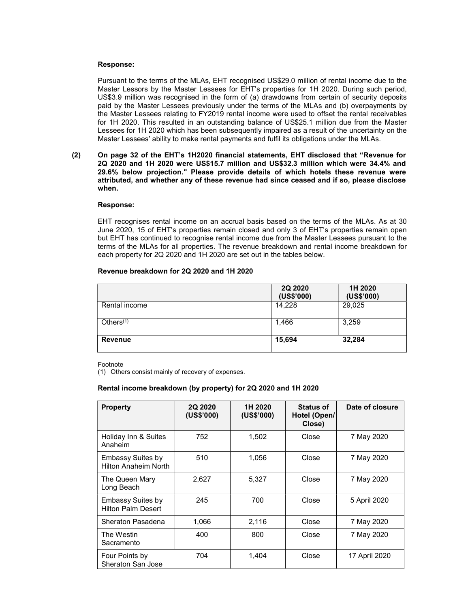### Response:

Pursuant to the terms of the MLAs, EHT recognised US\$29.0 million of rental income due to the Master Lessors by the Master Lessees for EHT's properties for 1H 2020. During such period, US\$3.9 million was recognised in the form of (a) drawdowns from certain of security deposits paid by the Master Lessees previously under the terms of the MLAs and (b) overpayments by the Master Lessees relating to FY2019 rental income were used to offset the rental receivables for 1H 2020. This resulted in an outstanding balance of US\$25.1 million due from the Master Lessees for 1H 2020 which has been subsequently impaired as a result of the uncertainty on the Master Lessees' ability to make rental payments and fulfil its obligations under the MLAs.

(2) On page 32 of the EHT's 1H2020 financial statements, EHT disclosed that "Revenue for 2Q 2020 and 1H 2020 were US\$15.7 million and US\$32.3 million which were 34.4% and 29.6% below projection." Please provide details of which hotels these revenue were attributed, and whether any of these revenue had since ceased and if so, please disclose when.

### Response:

EHT recognises rental income on an accrual basis based on the terms of the MLAs. As at 30 June 2020, 15 of EHT's properties remain closed and only 3 of EHT's properties remain open but EHT has continued to recognise rental income due from the Master Lessees pursuant to the terms of the MLAs for all properties. The revenue breakdown and rental income breakdown for each property for 2Q 2020 and 1H 2020 are set out in the tables below.

# Revenue breakdown for 2Q 2020 and 1H 2020

|                | 2Q 2020<br>(US\$'000) | 1H 2020<br>(US\$'000) |
|----------------|-----------------------|-----------------------|
| Rental income  | 14,228                | 29,025                |
| Others $(1)$   | 1,466                 | 3,259                 |
| <b>Revenue</b> | 15,694                | 32,284                |

Footnote

(1) Others consist mainly of recovery of expenses.

# Rental income breakdown (by property) for 2Q 2020 and 1H 2020

| <b>Property</b>                                       | 2Q 2020<br>(US\$'000) | 1H 2020<br>(US\$'000) | <b>Status of</b><br>Hotel (Open/<br>Close) | Date of closure |
|-------------------------------------------------------|-----------------------|-----------------------|--------------------------------------------|-----------------|
| Holiday Inn & Suites<br>Anaheim                       | 752                   | 1,502                 | Close                                      | 7 May 2020      |
| <b>Embassy Suites by</b><br>Hilton Anaheim North      | 510                   | 1,056                 | Close                                      | 7 May 2020      |
| The Queen Mary<br>Long Beach                          | 2,627                 | 5,327                 | Close                                      | 7 May 2020      |
| <b>Embassy Suites by</b><br><b>Hilton Palm Desert</b> | 245                   | 700                   | Close                                      | 5 April 2020    |
| Sheraton Pasadena                                     | 1,066                 | 2,116                 | Close                                      | 7 May 2020      |
| The Westin<br>Sacramento                              | 400                   | 800                   | Close                                      | 7 May 2020      |
| Four Points by<br>Sheraton San Jose                   | 704                   | 1.404                 | Close                                      | 17 April 2020   |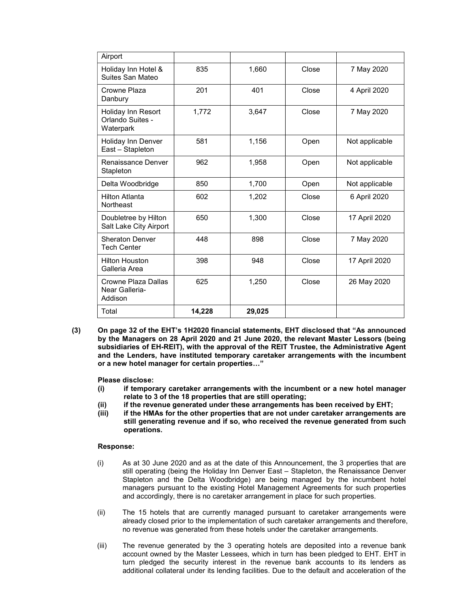| Airport                                             |        |        |       |                |
|-----------------------------------------------------|--------|--------|-------|----------------|
| Holiday Inn Hotel &<br>Suites San Mateo             | 835    | 1,660  | Close | 7 May 2020     |
| Crowne Plaza<br>Danbury                             | 201    | 401    | Close | 4 April 2020   |
| Holiday Inn Resort<br>Orlando Suites -<br>Waterpark | 1,772  | 3,647  | Close | 7 May 2020     |
| Holiday Inn Denver<br>East - Stapleton              | 581    | 1,156  | Open  | Not applicable |
| Renaissance Denver<br>Stapleton                     | 962    | 1,958  | Open  | Not applicable |
| Delta Woodbridge                                    | 850    | 1,700  | Open  | Not applicable |
| <b>Hilton Atlanta</b><br><b>Northeast</b>           | 602    | 1,202  | Close | 6 April 2020   |
| Doubletree by Hilton<br>Salt Lake City Airport      | 650    | 1,300  | Close | 17 April 2020  |
| <b>Sheraton Denver</b><br><b>Tech Center</b>        | 448    | 898    | Close | 7 May 2020     |
| <b>Hilton Houston</b><br>Galleria Area              | 398    | 948    | Close | 17 April 2020  |
| Crowne Plaza Dallas<br>Near Galleria-<br>Addison    | 625    | 1,250  | Close | 26 May 2020    |
| Total                                               | 14,228 | 29,025 |       |                |

(3) On page 32 of the EHT's 1H2020 financial statements, EHT disclosed that "As announced by the Managers on 28 April 2020 and 21 June 2020, the relevant Master Lessors (being subsidiaries of EH-REIT), with the approval of the REIT Trustee, the Administrative Agent and the Lenders, have instituted temporary caretaker arrangements with the incumbent or a new hotel manager for certain properties…"

Please disclose:

- (i) if temporary caretaker arrangements with the incumbent or a new hotel manager relate to 3 of the 18 properties that are still operating;
- (ii) if the revenue generated under these arrangements has been received by EHT;<br>(iii) if the HMAs for the other properties that are not under caretaker arrangements
- if the HMAs for the other properties that are not under caretaker arrangements are still generating revenue and if so, who received the revenue generated from such operations.

#### Response:

- (i) As at 30 June 2020 and as at the date of this Announcement, the 3 properties that are still operating (being the Holiday Inn Denver East – Stapleton, the Renaissance Denver Stapleton and the Delta Woodbridge) are being managed by the incumbent hotel managers pursuant to the existing Hotel Management Agreements for such properties and accordingly, there is no caretaker arrangement in place for such properties.
- (ii) The 15 hotels that are currently managed pursuant to caretaker arrangements were already closed prior to the implementation of such caretaker arrangements and therefore, no revenue was generated from these hotels under the caretaker arrangements.
- (iii) The revenue generated by the 3 operating hotels are deposited into a revenue bank account owned by the Master Lessees, which in turn has been pledged to EHT. EHT in turn pledged the security interest in the revenue bank accounts to its lenders as additional collateral under its lending facilities. Due to the default and acceleration of the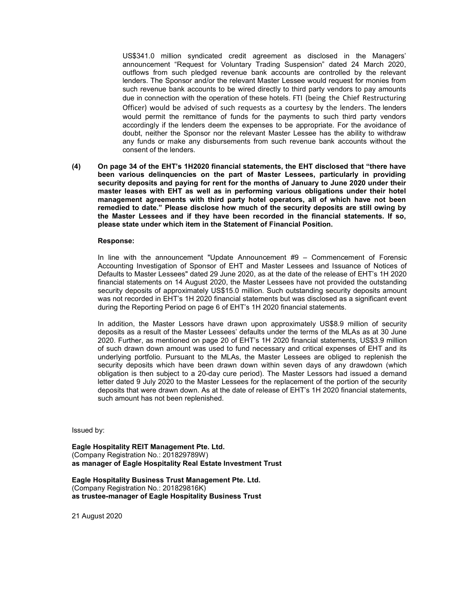US\$341.0 million syndicated credit agreement as disclosed in the Managers' announcement "Request for Voluntary Trading Suspension" dated 24 March 2020, outflows from such pledged revenue bank accounts are controlled by the relevant lenders. The Sponsor and/or the relevant Master Lessee would request for monies from such revenue bank accounts to be wired directly to third party vendors to pay amounts due in connection with the operation of these hotels. FTI (being the Chief Restructuring Officer) would be advised of such requests as a courtesy by the lenders. The lenders would permit the remittance of funds for the payments to such third party vendors accordingly if the lenders deem the expenses to be appropriate. For the avoidance of doubt, neither the Sponsor nor the relevant Master Lessee has the ability to withdraw any funds or make any disbursements from such revenue bank accounts without the consent of the lenders.

(4) On page 34 of the EHT's 1H2020 financial statements, the EHT disclosed that "there have been various delinquencies on the part of Master Lessees, particularly in providing security deposits and paying for rent for the months of January to June 2020 under their master leases with EHT as well as in performing various obligations under their hotel management agreements with third party hotel operators, all of which have not been remedied to date." Please disclose how much of the security deposits are still owing by the Master Lessees and if they have been recorded in the financial statements. If so, please state under which item in the Statement of Financial Position.

#### Response:

In line with the announcement "Update Announcement #9 – Commencement of Forensic Accounting Investigation of Sponsor of EHT and Master Lessees and Issuance of Notices of Defaults to Master Lessees" dated 29 June 2020, as at the date of the release of EHT's 1H 2020 financial statements on 14 August 2020, the Master Lessees have not provided the outstanding security deposits of approximately US\$15.0 million. Such outstanding security deposits amount was not recorded in EHT's 1H 2020 financial statements but was disclosed as a significant event during the Reporting Period on page 6 of EHT's 1H 2020 financial statements.

In addition, the Master Lessors have drawn upon approximately US\$8.9 million of security deposits as a result of the Master Lessees' defaults under the terms of the MLAs as at 30 June 2020. Further, as mentioned on page 20 of EHT's 1H 2020 financial statements, US\$3.9 million of such drawn down amount was used to fund necessary and critical expenses of EHT and its underlying portfolio. Pursuant to the MLAs, the Master Lessees are obliged to replenish the security deposits which have been drawn down within seven days of any drawdown (which obligation is then subject to a 20-day cure period). The Master Lessors had issued a demand letter dated 9 July 2020 to the Master Lessees for the replacement of the portion of the security deposits that were drawn down. As at the date of release of EHT's 1H 2020 financial statements, such amount has not been replenished.

Issued by:

Eagle Hospitality REIT Management Pte. Ltd. (Company Registration No.: 201829789W) as manager of Eagle Hospitality Real Estate Investment Trust

Eagle Hospitality Business Trust Management Pte. Ltd. (Company Registration No.: 201829816K) as trustee-manager of Eagle Hospitality Business Trust

21 August 2020